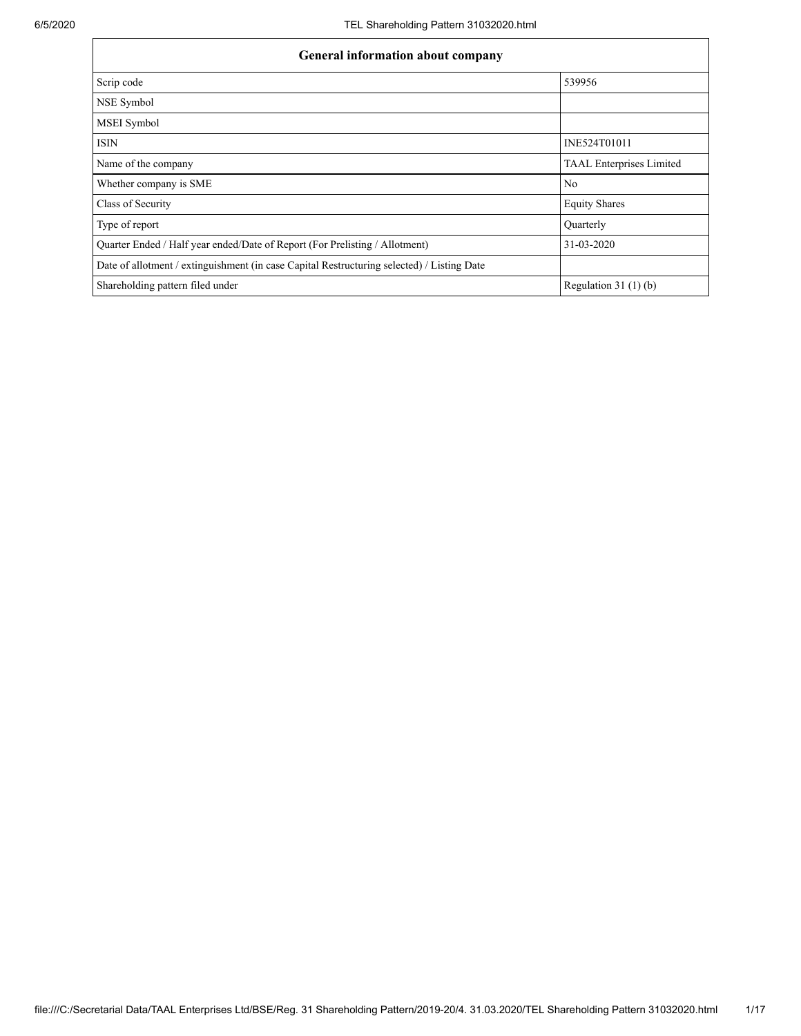| <b>General information about company</b>                                                   |                                 |  |  |  |
|--------------------------------------------------------------------------------------------|---------------------------------|--|--|--|
| Scrip code                                                                                 | 539956                          |  |  |  |
| NSE Symbol                                                                                 |                                 |  |  |  |
| <b>MSEI</b> Symbol                                                                         |                                 |  |  |  |
| <b>ISIN</b>                                                                                | INE524T01011                    |  |  |  |
| Name of the company                                                                        | <b>TAAL Enterprises Limited</b> |  |  |  |
| Whether company is SME                                                                     | N <sub>0</sub>                  |  |  |  |
| Class of Security                                                                          | <b>Equity Shares</b>            |  |  |  |
| Type of report                                                                             | Quarterly                       |  |  |  |
| Quarter Ended / Half year ended/Date of Report (For Prelisting / Allotment)                | 31-03-2020                      |  |  |  |
| Date of allotment / extinguishment (in case Capital Restructuring selected) / Listing Date |                                 |  |  |  |
| Shareholding pattern filed under                                                           | Regulation 31 $(1)(b)$          |  |  |  |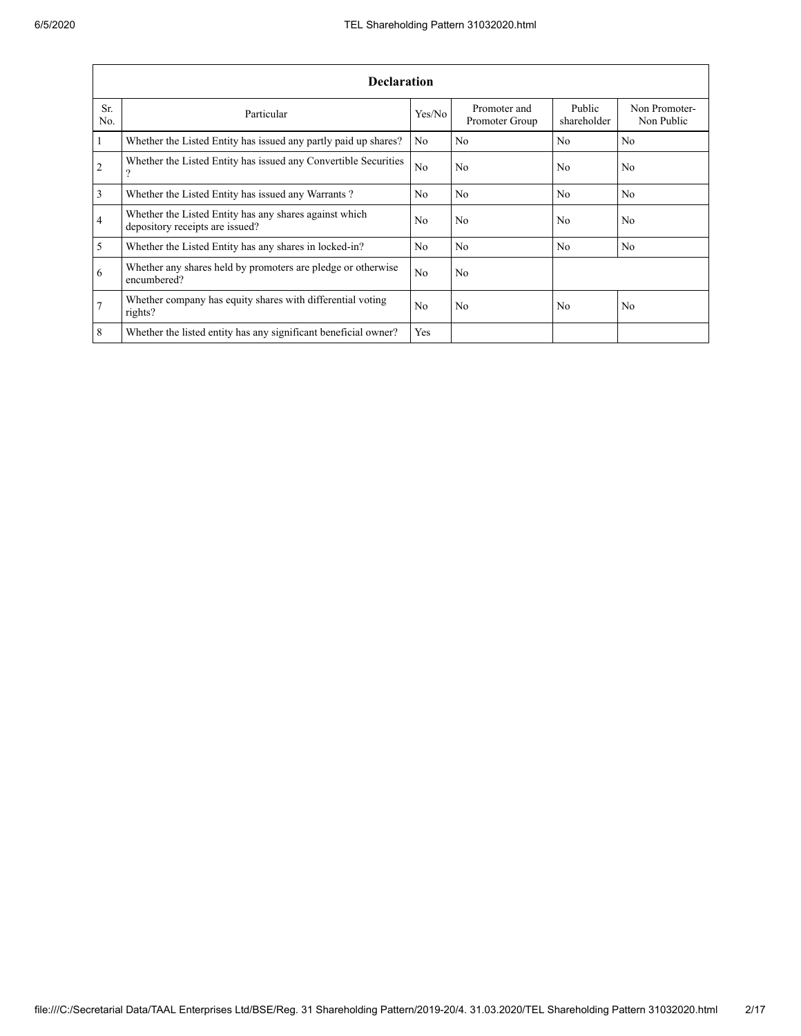|                | <b>Declaration</b>                                                                        |                |                                |                       |                             |  |  |  |
|----------------|-------------------------------------------------------------------------------------------|----------------|--------------------------------|-----------------------|-----------------------------|--|--|--|
| Sr.<br>No.     | Particular                                                                                | Yes/No         | Promoter and<br>Promoter Group | Public<br>shareholder | Non Promoter-<br>Non Public |  |  |  |
| $\vert$ 1      | Whether the Listed Entity has issued any partly paid up shares?                           | No             | N <sub>0</sub>                 | N <sub>0</sub>        | N <sub>0</sub>              |  |  |  |
| $\overline{2}$ | Whether the Listed Entity has issued any Convertible Securities<br>?                      | N <sub>0</sub> | N <sub>0</sub>                 | No.                   | N <sub>0</sub>              |  |  |  |
| $\overline{3}$ | Whether the Listed Entity has issued any Warrants?                                        | No.            | N <sub>0</sub>                 | N <sub>0</sub>        | N <sub>0</sub>              |  |  |  |
| $\overline{4}$ | Whether the Listed Entity has any shares against which<br>depository receipts are issued? | No.            | N <sub>0</sub>                 | No.                   | N <sub>0</sub>              |  |  |  |
| $\overline{5}$ | Whether the Listed Entity has any shares in locked-in?                                    | No.            | N <sub>0</sub>                 | N <sub>0</sub>        | N <sub>0</sub>              |  |  |  |
| 6              | Whether any shares held by promoters are pledge or otherwise<br>encumbered?               | N <sub>0</sub> | No                             |                       |                             |  |  |  |
| $\overline{7}$ | Whether company has equity shares with differential voting<br>rights?                     | No.            | N <sub>0</sub>                 | No                    | N <sub>0</sub>              |  |  |  |
| 8              | Whether the listed entity has any significant beneficial owner?                           | Yes            |                                |                       |                             |  |  |  |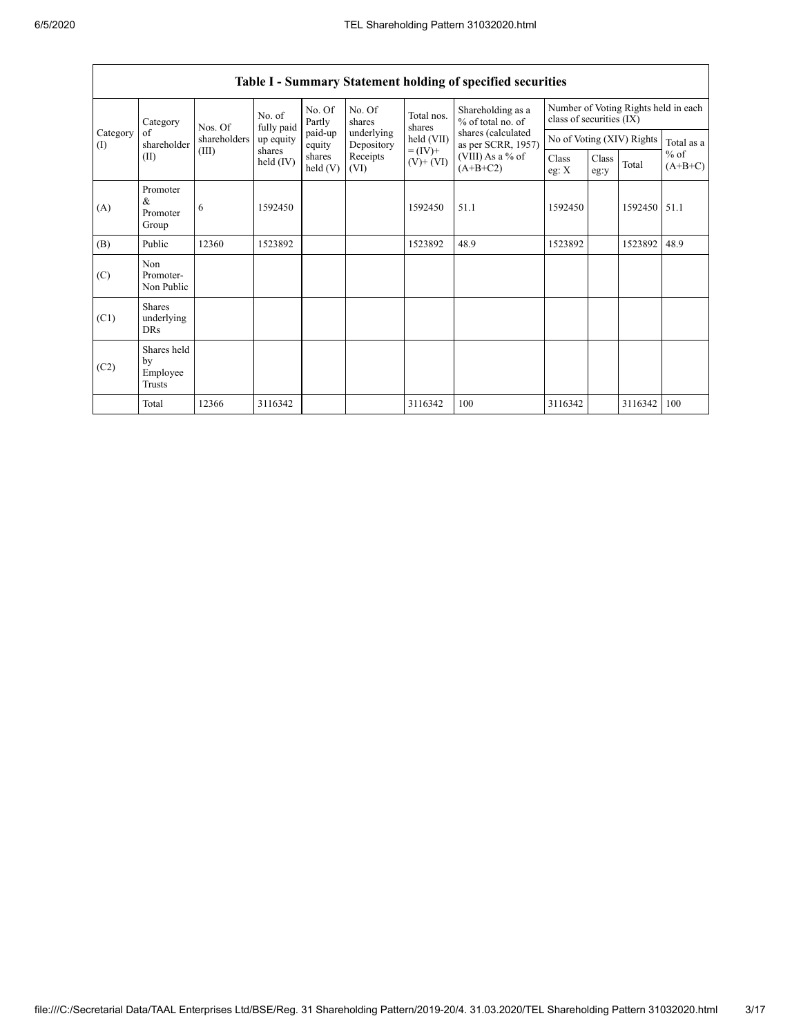| Category        | No. of<br>fully paid<br>Nos. Of         | No. Of<br>Partly                                                                                                                             | No. Of<br>shares | Total nos.<br>shares | Shareholding as a<br>% of total no. of | Number of Voting Rights held in each<br>class of securities (IX) |                                          |                           |  |         |            |
|-----------------|-----------------------------------------|----------------------------------------------------------------------------------------------------------------------------------------------|------------------|----------------------|----------------------------------------|------------------------------------------------------------------|------------------------------------------|---------------------------|--|---------|------------|
| Category<br>(1) | of<br>shareholder                       | shareholders                                                                                                                                 | up equity        | paid-up<br>equity    | underlying<br>Depository               | held (VII)                                                       | shares (calculated<br>as per SCRR, 1957) | No of Voting (XIV) Rights |  |         | Total as a |
|                 | (II)                                    | shares<br>$= (IV) +$<br>(III)<br>(VIII) As a $%$ of<br>shares<br>Receipts<br>held (IV)<br>$(V)$ + $(VI)$<br>$(A+B+C2)$<br>held $(V)$<br>(VI) |                  | Class<br>eg: $X$     | Class<br>eg:y                          | Total                                                            | $%$ of<br>$(A+B+C)$                      |                           |  |         |            |
| (A)             | Promoter<br>$\&$<br>Promoter<br>Group   | 6                                                                                                                                            | 1592450          |                      |                                        | 1592450                                                          | 51.1                                     | 1592450                   |  | 1592450 | 51.1       |
| (B)             | Public                                  | 12360                                                                                                                                        | 1523892          |                      |                                        | 1523892                                                          | 48.9                                     | 1523892                   |  | 1523892 | 48.9       |
| (C)             | Non<br>Promoter-<br>Non Public          |                                                                                                                                              |                  |                      |                                        |                                                                  |                                          |                           |  |         |            |
| (C1)            | <b>Shares</b><br>underlying<br>DRs      |                                                                                                                                              |                  |                      |                                        |                                                                  |                                          |                           |  |         |            |
| (C2)            | Shares held<br>by<br>Employee<br>Trusts |                                                                                                                                              |                  |                      |                                        |                                                                  |                                          |                           |  |         |            |
|                 | Total                                   | 12366                                                                                                                                        | 3116342          |                      |                                        | 3116342                                                          | 100                                      | 3116342                   |  | 3116342 | 100        |

## Table I - Summary Statement holding of specified securities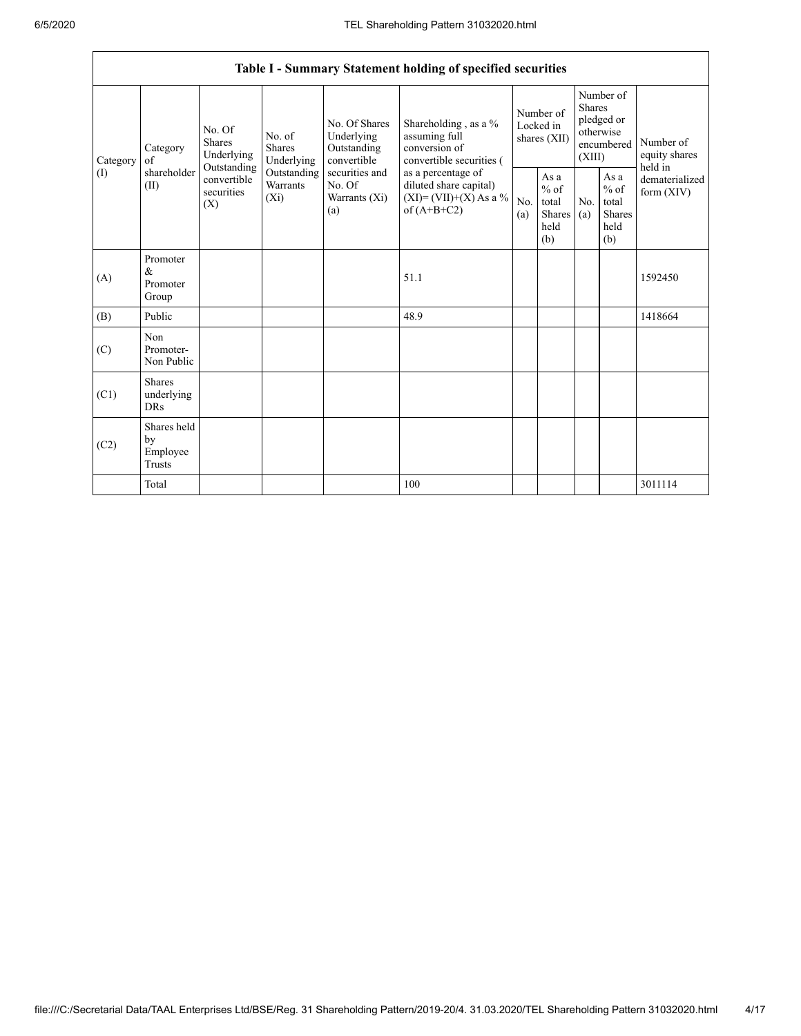|                | Table I - Summary Statement holding of specified securities |                                                 |                                                           |                                                                                     |                                                                                            |            |                                                                        |            |                                                         |                                           |
|----------------|-------------------------------------------------------------|-------------------------------------------------|-----------------------------------------------------------|-------------------------------------------------------------------------------------|--------------------------------------------------------------------------------------------|------------|------------------------------------------------------------------------|------------|---------------------------------------------------------|-------------------------------------------|
| of<br>Category | No. Of<br><b>Shares</b><br>Category<br>Underlying           | No. of<br><b>Shares</b><br>Underlying           | No. Of Shares<br>Underlying<br>Outstanding<br>convertible | Shareholding , as a %<br>assuming full<br>conversion of<br>convertible securities ( | Number of<br>Locked in<br>shares (XII)                                                     |            | Number of<br>Shares<br>pledged or<br>otherwise<br>encumbered<br>(XIII) |            | Number of<br>equity shares                              |                                           |
| (1)            | shareholder<br>(II)                                         | Outstanding<br>convertible<br>securities<br>(X) | Outstanding<br>Warrants<br>$(X_i)$                        | securities and<br>No. Of<br>Warrants (Xi)<br>(a)                                    | as a percentage of<br>diluted share capital)<br>$(XI) = (VII)+(X) As a %$<br>of $(A+B+C2)$ | No.<br>(a) | As a<br>$%$ of<br>total<br>Shares<br>held<br>(b)                       | No.<br>(a) | As a<br>$%$ of<br>total<br><b>Shares</b><br>held<br>(b) | held in<br>dematerialized<br>form $(XIV)$ |
| (A)            | Promoter<br>&<br>Promoter<br>Group                          |                                                 |                                                           |                                                                                     | 51.1                                                                                       |            |                                                                        |            |                                                         | 1592450                                   |
| (B)            | Public                                                      |                                                 |                                                           |                                                                                     | 48.9                                                                                       |            |                                                                        |            |                                                         | 1418664                                   |
| (C)            | Non<br>Promoter-<br>Non Public                              |                                                 |                                                           |                                                                                     |                                                                                            |            |                                                                        |            |                                                         |                                           |
| (C1)           | <b>Shares</b><br>underlying<br><b>DRs</b>                   |                                                 |                                                           |                                                                                     |                                                                                            |            |                                                                        |            |                                                         |                                           |
| (C2)           | Shares held<br>by<br>Employee<br>Trusts                     |                                                 |                                                           |                                                                                     |                                                                                            |            |                                                                        |            |                                                         |                                           |
|                | Total                                                       |                                                 |                                                           |                                                                                     | 100                                                                                        |            |                                                                        |            |                                                         | 3011114                                   |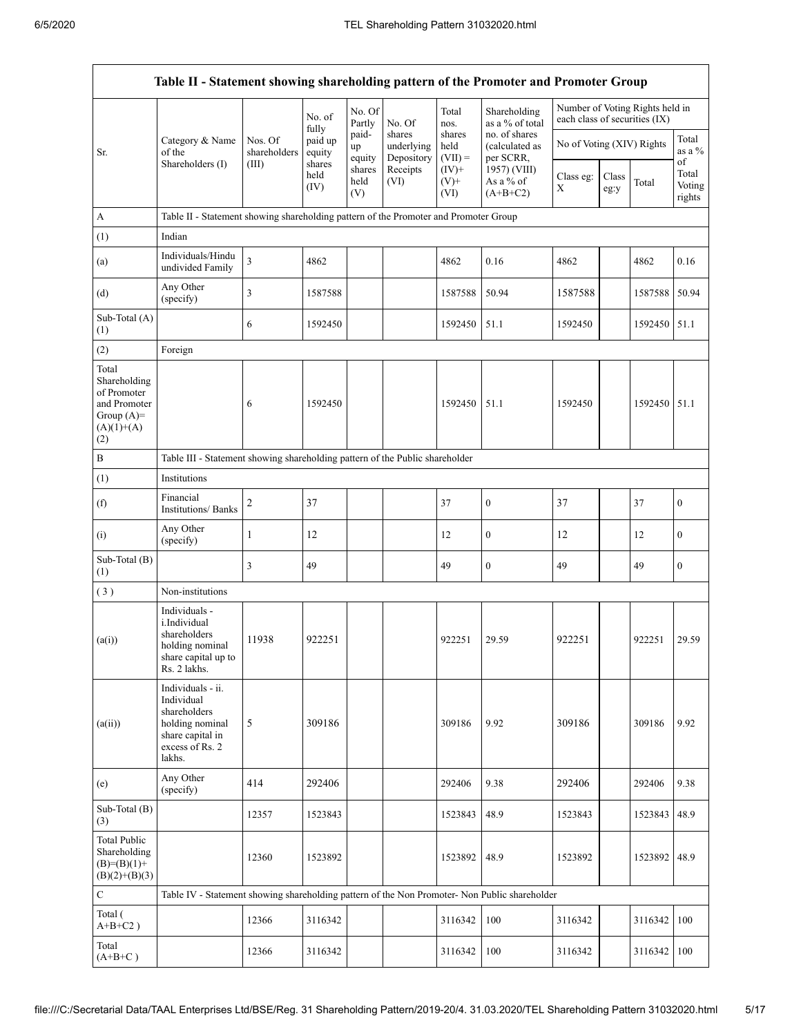|                                                                                             | Table II - Statement showing shareholding pattern of the Promoter and Promoter Group                                |                         |                            |                       |                                    |                             |                                              |                               |               |                                 |                           |
|---------------------------------------------------------------------------------------------|---------------------------------------------------------------------------------------------------------------------|-------------------------|----------------------------|-----------------------|------------------------------------|-----------------------------|----------------------------------------------|-------------------------------|---------------|---------------------------------|---------------------------|
|                                                                                             |                                                                                                                     |                         | No. of                     | No. Of<br>Partly      | No. Of                             | Total<br>nos.               | Shareholding<br>as a % of total              | each class of securities (IX) |               | Number of Voting Rights held in |                           |
| of the<br>Sr.                                                                               | Category & Name                                                                                                     | Nos. Of<br>shareholders | fully<br>paid up<br>equity | paid-<br>up<br>equity | shares<br>underlying<br>Depository | shares<br>held<br>$(VII) =$ | no. of shares<br>(calculated as<br>per SCRR, | No of Voting (XIV) Rights     |               |                                 | Total<br>as a %<br>of     |
|                                                                                             | Shareholders (I)                                                                                                    | (III)                   | shares<br>held<br>(IV)     | shares<br>held<br>(V) | Receipts<br>(VI)                   | $(IV)$ +<br>$(V)$ +<br>(VI) | 1957) (VIII)<br>As a % of<br>$(A+B+C2)$      | Class eg:<br>X                | Class<br>eg:y | Total                           | Total<br>Voting<br>rights |
| A                                                                                           | Table II - Statement showing shareholding pattern of the Promoter and Promoter Group                                |                         |                            |                       |                                    |                             |                                              |                               |               |                                 |                           |
| (1)                                                                                         | Indian                                                                                                              |                         |                            |                       |                                    |                             |                                              |                               |               |                                 |                           |
| (a)                                                                                         | Individuals/Hindu<br>undivided Family                                                                               | $\overline{\mathbf{3}}$ | 4862                       |                       |                                    | 4862                        | 0.16                                         | 4862                          |               | 4862                            | 0.16                      |
| (d)                                                                                         | Any Other<br>(specify)                                                                                              | 3                       | 1587588                    |                       |                                    | 1587588                     | 50.94                                        | 1587588                       |               | 1587588                         | 50.94                     |
| Sub-Total (A)<br>(1)                                                                        |                                                                                                                     | 6                       | 1592450                    |                       |                                    | 1592450                     | 51.1                                         | 1592450                       |               | 1592450 51.1                    |                           |
| (2)                                                                                         | Foreign                                                                                                             |                         |                            |                       |                                    |                             |                                              |                               |               |                                 |                           |
| Total<br>Shareholding<br>of Promoter<br>and Promoter<br>Group $(A)=$<br>$(A)(1)+(A)$<br>(2) |                                                                                                                     | 6                       | 1592450                    |                       |                                    | 1592450                     | 51.1                                         | 1592450                       |               | 1592450 51.1                    |                           |
| $\, {\bf B}$                                                                                | Table III - Statement showing shareholding pattern of the Public shareholder                                        |                         |                            |                       |                                    |                             |                                              |                               |               |                                 |                           |
| (1)                                                                                         | Institutions                                                                                                        |                         |                            |                       |                                    |                             |                                              |                               |               |                                 |                           |
| (f)                                                                                         | Financial<br><b>Institutions/Banks</b>                                                                              | $\overline{2}$          | 37                         |                       |                                    | 37                          | $\boldsymbol{0}$                             | 37                            |               | 37                              | $\boldsymbol{0}$          |
| (i)                                                                                         | Any Other<br>(specify)                                                                                              | $\mathbf{1}$            | 12                         |                       |                                    | 12                          | $\boldsymbol{0}$                             | 12                            |               | 12                              | $\mathbf{0}$              |
| Sub-Total (B)<br>(1)                                                                        |                                                                                                                     | 3                       | 49                         |                       |                                    | 49                          | $\boldsymbol{0}$                             | 49                            |               | 49                              | $\mathbf{0}$              |
| (3)                                                                                         | Non-institutions                                                                                                    |                         |                            |                       |                                    |                             |                                              |                               |               |                                 |                           |
| (a(i))                                                                                      | Individuals -<br>i.Individual<br>shareholders<br>holding nominal<br>share capital up to<br>Rs. 2 lakhs.             | 11938                   | 922251                     |                       |                                    | 922251                      | 29.59                                        | 922251                        |               | 922251                          | 29.59                     |
| (a(ii))                                                                                     | Individuals - ii.<br>Individual<br>shareholders<br>holding nominal<br>share capital in<br>excess of Rs. 2<br>lakhs. | 5                       | 309186                     |                       |                                    | 309186                      | 9.92                                         | 309186                        |               | 309186                          | 9.92                      |
| (e)                                                                                         | Any Other<br>(specify)                                                                                              | 414                     | 292406                     |                       |                                    | 292406                      | 9.38                                         | 292406                        |               | 292406                          | 9.38                      |
| Sub-Total (B)<br>(3)                                                                        |                                                                                                                     | 12357                   | 1523843                    |                       |                                    | 1523843                     | 48.9                                         | 1523843                       |               | 1523843                         | 48.9                      |
| <b>Total Public</b><br>Shareholding<br>$(B)=(B)(1)+$<br>$(B)(2)+(B)(3)$                     |                                                                                                                     | 12360                   | 1523892                    |                       |                                    | 1523892                     | 48.9                                         | 1523892                       |               | 1523892                         | 48.9                      |
| $\mathbf C$                                                                                 | Table IV - Statement showing shareholding pattern of the Non Promoter- Non Public shareholder                       |                         |                            |                       |                                    |                             |                                              |                               |               |                                 |                           |
| Total (<br>$A+B+C2$ )                                                                       |                                                                                                                     | 12366                   | 3116342                    |                       |                                    | 3116342                     | 100                                          | 3116342                       |               | 3116342                         | 100                       |
| Total<br>$(A+B+C)$                                                                          |                                                                                                                     | 12366                   | 3116342                    |                       |                                    | 3116342                     | 100                                          | 3116342                       |               | 3116342                         | 100                       |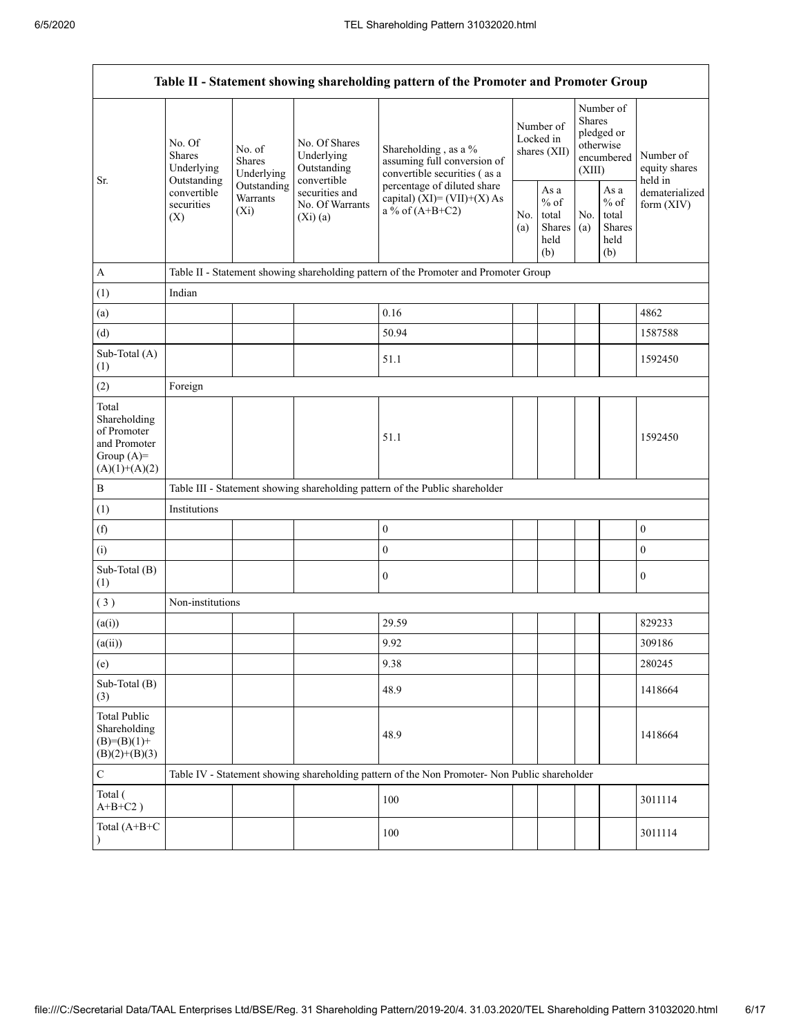|                                                                                         | Table II - Statement showing shareholding pattern of the Promoter and Promoter Group |                                    |                                                           |                                                                                                                                                                             |                                        |                                                         |                                                                               |                                                  |                                       |
|-----------------------------------------------------------------------------------------|--------------------------------------------------------------------------------------|------------------------------------|-----------------------------------------------------------|-----------------------------------------------------------------------------------------------------------------------------------------------------------------------------|----------------------------------------|---------------------------------------------------------|-------------------------------------------------------------------------------|--------------------------------------------------|---------------------------------------|
| Sr.                                                                                     | No. Of<br>No. of<br><b>Shares</b><br><b>Shares</b><br>Underlying<br>Outstanding      | Underlying                         | No. Of Shares<br>Underlying<br>Outstanding<br>convertible | Shareholding, as a %<br>assuming full conversion of<br>convertible securities (as a<br>percentage of diluted share<br>capital) $(XI) = (VII)+(X) As$<br>$a\%$ of $(A+B+C2)$ | Number of<br>Locked in<br>shares (XII) |                                                         | Number of<br><b>Shares</b><br>pledged or<br>otherwise<br>encumbered<br>(XIII) |                                                  | Number of<br>equity shares<br>held in |
|                                                                                         | convertible<br>securities<br>(X)                                                     | Outstanding<br>Warrants<br>$(X_i)$ | securities and<br>No. Of Warrants<br>(Xi)(a)              |                                                                                                                                                                             | No.<br>(a)                             | As a<br>$%$ of<br>total<br><b>Shares</b><br>held<br>(b) | No.<br>(a)                                                                    | As a<br>$%$ of<br>total<br>Shares<br>held<br>(b) | dematerialized<br>form $(XIV)$        |
| $\mathbf{A}$                                                                            |                                                                                      |                                    |                                                           | Table II - Statement showing shareholding pattern of the Promoter and Promoter Group                                                                                        |                                        |                                                         |                                                                               |                                                  |                                       |
| (1)                                                                                     | Indian                                                                               |                                    |                                                           |                                                                                                                                                                             |                                        |                                                         |                                                                               |                                                  |                                       |
| (a)                                                                                     |                                                                                      |                                    |                                                           | 0.16                                                                                                                                                                        |                                        |                                                         |                                                                               |                                                  | 4862                                  |
| (d)                                                                                     |                                                                                      |                                    |                                                           | 50.94                                                                                                                                                                       |                                        |                                                         |                                                                               |                                                  | 1587588                               |
| Sub-Total (A)<br>(1)                                                                    |                                                                                      |                                    |                                                           | 51.1                                                                                                                                                                        |                                        |                                                         |                                                                               |                                                  | 1592450                               |
| (2)                                                                                     | Foreign                                                                              |                                    |                                                           |                                                                                                                                                                             |                                        |                                                         |                                                                               |                                                  |                                       |
| Total<br>Shareholding<br>of Promoter<br>and Promoter<br>Group $(A)=$<br>$(A)(1)+(A)(2)$ |                                                                                      |                                    |                                                           | 51.1                                                                                                                                                                        |                                        |                                                         |                                                                               |                                                  | 1592450                               |
| $\, {\bf B}$                                                                            |                                                                                      |                                    |                                                           | Table III - Statement showing shareholding pattern of the Public shareholder                                                                                                |                                        |                                                         |                                                                               |                                                  |                                       |
| (1)                                                                                     | Institutions                                                                         |                                    |                                                           |                                                                                                                                                                             |                                        |                                                         |                                                                               |                                                  |                                       |
| (f)                                                                                     |                                                                                      |                                    |                                                           | $\boldsymbol{0}$                                                                                                                                                            |                                        |                                                         |                                                                               |                                                  | $\boldsymbol{0}$                      |
| (i)                                                                                     |                                                                                      |                                    |                                                           | $\overline{0}$                                                                                                                                                              |                                        |                                                         |                                                                               |                                                  | $\mathbf{0}$                          |
| Sub-Total (B)<br>(1)                                                                    |                                                                                      |                                    |                                                           | $\mathbf{0}$                                                                                                                                                                |                                        |                                                         |                                                                               |                                                  | $\mathbf{0}$                          |
| (3)                                                                                     | Non-institutions                                                                     |                                    |                                                           |                                                                                                                                                                             |                                        |                                                         |                                                                               |                                                  |                                       |
| (a(i))                                                                                  |                                                                                      |                                    |                                                           | 29.59                                                                                                                                                                       |                                        |                                                         |                                                                               |                                                  | 829233                                |
| (a(ii))                                                                                 |                                                                                      |                                    |                                                           | 9.92                                                                                                                                                                        |                                        |                                                         |                                                                               |                                                  | 309186                                |
| (e)                                                                                     |                                                                                      |                                    |                                                           | 9.38                                                                                                                                                                        |                                        |                                                         |                                                                               |                                                  | 280245                                |
| Sub-Total (B)<br>(3)                                                                    |                                                                                      |                                    |                                                           | 48.9                                                                                                                                                                        |                                        |                                                         |                                                                               |                                                  | 1418664                               |
| <b>Total Public</b><br>Shareholding<br>$(B)= (B)(1) +$<br>$(B)(2)+(B)(3)$               |                                                                                      |                                    |                                                           | 48.9                                                                                                                                                                        |                                        |                                                         |                                                                               |                                                  | 1418664                               |
| $\mathsf C$                                                                             |                                                                                      |                                    |                                                           | Table IV - Statement showing shareholding pattern of the Non Promoter- Non Public shareholder                                                                               |                                        |                                                         |                                                                               |                                                  |                                       |
| Total (<br>$A+B+C2$ )                                                                   |                                                                                      |                                    |                                                           | 100                                                                                                                                                                         |                                        |                                                         |                                                                               |                                                  | 3011114                               |
| Total (A+B+C<br>$\lambda$                                                               |                                                                                      |                                    |                                                           | 100                                                                                                                                                                         |                                        |                                                         |                                                                               |                                                  | 3011114                               |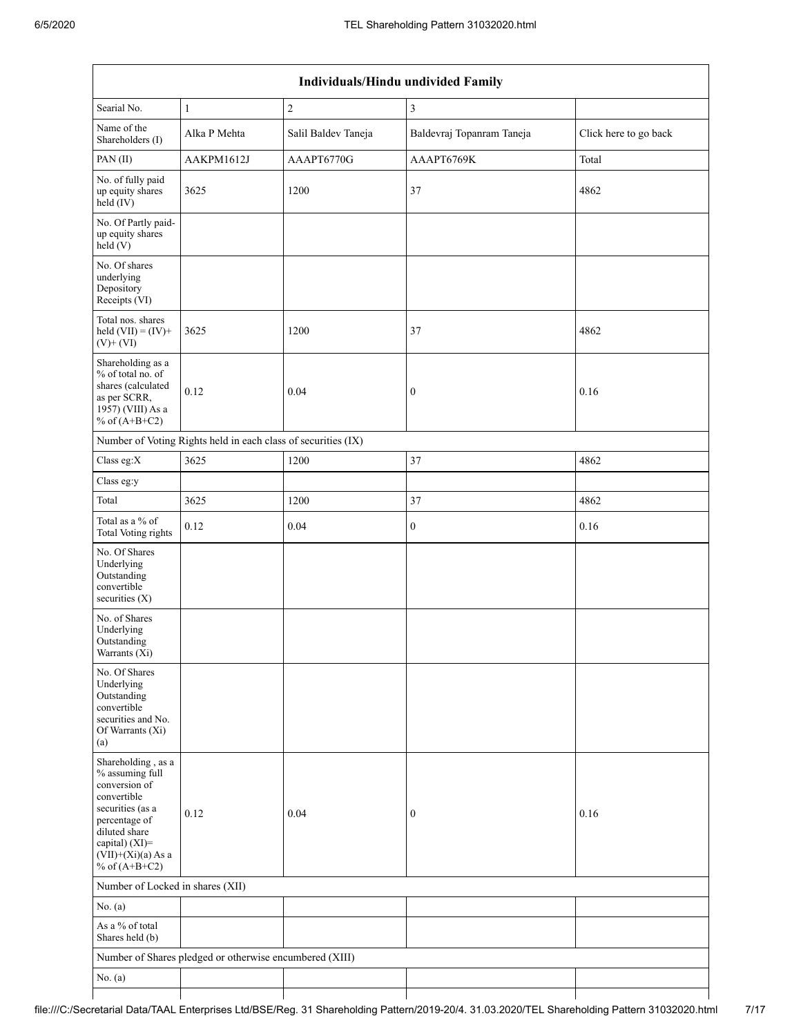$\overline{\phantom{a}}$ 

|                                                                                                                                                                                             | Individuals/Hindu undivided Family                            |                     |                           |                       |  |  |  |  |
|---------------------------------------------------------------------------------------------------------------------------------------------------------------------------------------------|---------------------------------------------------------------|---------------------|---------------------------|-----------------------|--|--|--|--|
| Searial No.                                                                                                                                                                                 | $\mathbf{1}$                                                  | $\overline{2}$      | $\mathfrak{Z}$            |                       |  |  |  |  |
| Name of the<br>Shareholders (I)                                                                                                                                                             | Alka P Mehta                                                  | Salil Baldev Taneja | Baldevraj Topanram Taneja | Click here to go back |  |  |  |  |
| PAN(II)                                                                                                                                                                                     | AAKPM1612J                                                    | AAAPT6770G          | AAAPT6769K                | Total                 |  |  |  |  |
| No. of fully paid<br>up equity shares<br>held (IV)                                                                                                                                          | 3625                                                          | 1200                | 37                        | 4862                  |  |  |  |  |
| No. Of Partly paid-<br>up equity shares<br>held(V)                                                                                                                                          |                                                               |                     |                           |                       |  |  |  |  |
| No. Of shares<br>underlying<br>Depository<br>Receipts (VI)                                                                                                                                  |                                                               |                     |                           |                       |  |  |  |  |
| Total nos. shares<br>held $(VII) = (IV) +$<br>$(V)$ + $(VI)$                                                                                                                                | 3625                                                          | 1200                | 37                        | 4862                  |  |  |  |  |
| Shareholding as a<br>% of total no. of<br>shares (calculated<br>as per SCRR,<br>1957) (VIII) As a<br>% of $(A+B+C2)$                                                                        | 0.12                                                          | 0.04                | $\boldsymbol{0}$          | 0.16                  |  |  |  |  |
|                                                                                                                                                                                             | Number of Voting Rights held in each class of securities (IX) |                     |                           |                       |  |  |  |  |
| Class eg:X                                                                                                                                                                                  | 3625                                                          | 1200                | 37                        | 4862                  |  |  |  |  |
| Class eg:y                                                                                                                                                                                  |                                                               |                     |                           |                       |  |  |  |  |
| Total                                                                                                                                                                                       | 3625                                                          | 1200                | 37                        | 4862                  |  |  |  |  |
| Total as a % of<br>Total Voting rights                                                                                                                                                      | 0.12                                                          | 0.04                | $\boldsymbol{0}$          | 0.16                  |  |  |  |  |
| No. Of Shares<br>Underlying<br>Outstanding<br>convertible<br>securities $(X)$                                                                                                               |                                                               |                     |                           |                       |  |  |  |  |
| No. of Shares<br>Underlying<br>Outstanding<br>Warrants (X1)                                                                                                                                 |                                                               |                     |                           |                       |  |  |  |  |
| No. Of Shares<br>Underlying<br>Outstanding<br>convertible<br>securities and No.<br>Of Warrants (Xi)<br>(a)                                                                                  |                                                               |                     |                           |                       |  |  |  |  |
| Shareholding, as a<br>% assuming full<br>conversion of<br>convertible<br>securities (as a<br>percentage of<br>diluted share<br>capital) $(XI)$ =<br>$(VII)+(Xi)(a)$ As a<br>% of $(A+B+C2)$ | 0.12                                                          | 0.04                | $\boldsymbol{0}$          | 0.16                  |  |  |  |  |
| Number of Locked in shares (XII)                                                                                                                                                            |                                                               |                     |                           |                       |  |  |  |  |
| No. $(a)$                                                                                                                                                                                   |                                                               |                     |                           |                       |  |  |  |  |
| As a % of total<br>Shares held (b)                                                                                                                                                          |                                                               |                     |                           |                       |  |  |  |  |
|                                                                                                                                                                                             | Number of Shares pledged or otherwise encumbered (XIII)       |                     |                           |                       |  |  |  |  |
| No. $(a)$                                                                                                                                                                                   |                                                               |                     |                           |                       |  |  |  |  |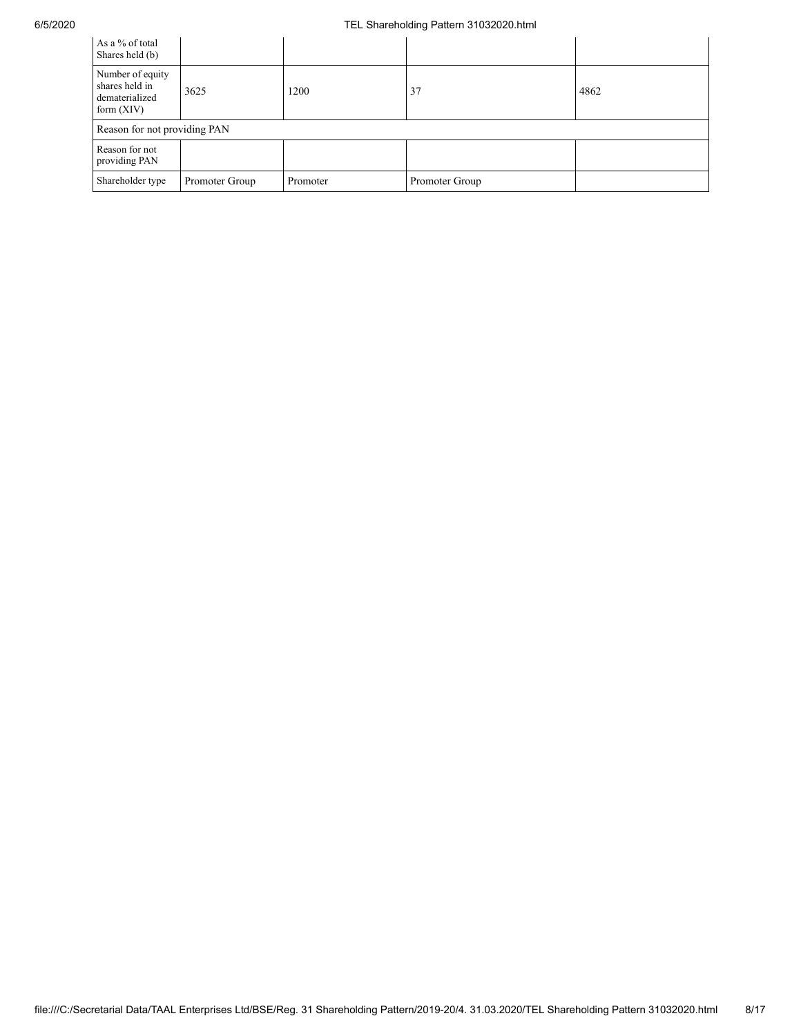## 6/5/2020 TEL Shareholding Pattern 31032020.html

| As a % of total<br>Shares held (b)                                   |                |          |                |      |
|----------------------------------------------------------------------|----------------|----------|----------------|------|
| Number of equity<br>shares held in<br>dematerialized<br>form $(XIV)$ | 3625           | 1200     | 37             | 4862 |
| Reason for not providing PAN                                         |                |          |                |      |
| Reason for not<br>providing PAN                                      |                |          |                |      |
| Shareholder type                                                     | Promoter Group | Promoter | Promoter Group |      |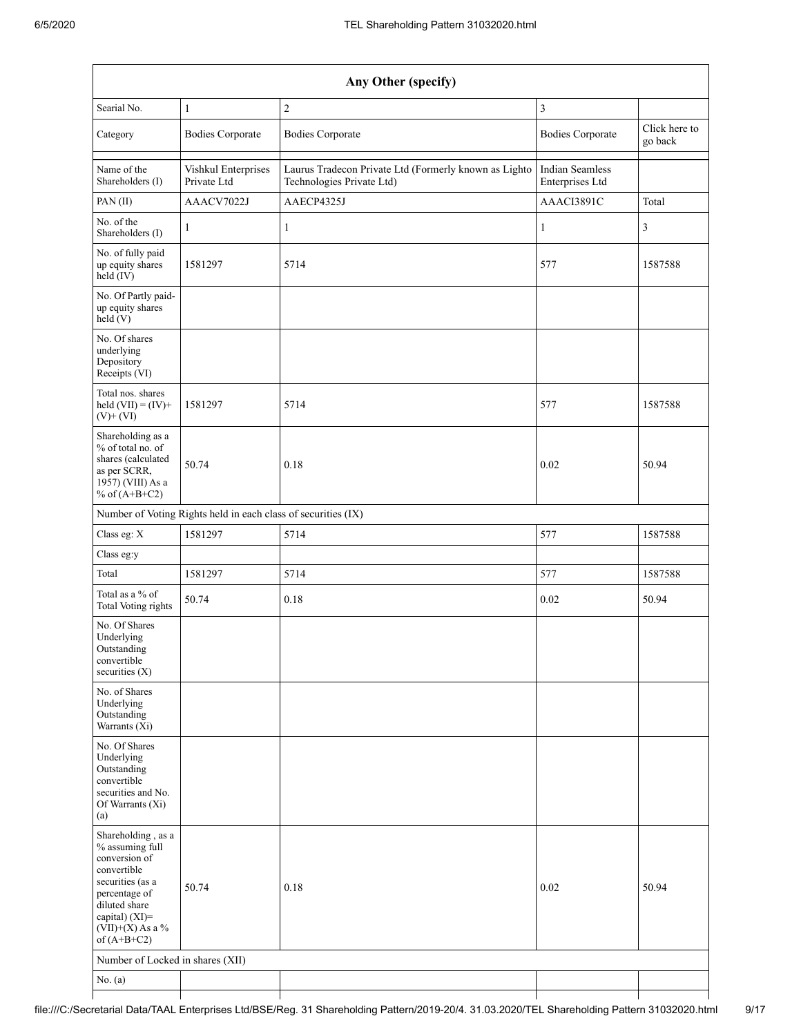|                                                                                                                                                                                       | Any Other (specify)                                           |                                                                                    |                                           |                          |  |  |  |
|---------------------------------------------------------------------------------------------------------------------------------------------------------------------------------------|---------------------------------------------------------------|------------------------------------------------------------------------------------|-------------------------------------------|--------------------------|--|--|--|
| Searial No.                                                                                                                                                                           | $\mathbf{1}$                                                  | $\sqrt{2}$                                                                         | 3                                         |                          |  |  |  |
| Category                                                                                                                                                                              | <b>Bodies Corporate</b>                                       | <b>Bodies Corporate</b>                                                            | <b>Bodies Corporate</b>                   | Click here to<br>go back |  |  |  |
| Name of the<br>Shareholders (I)                                                                                                                                                       | Vishkul Enterprises<br>Private Ltd                            | Laurus Tradecon Private Ltd (Formerly known as Lighto<br>Technologies Private Ltd) | <b>Indian Seamless</b><br>Enterprises Ltd |                          |  |  |  |
| PAN (II)                                                                                                                                                                              | AAACV7022J                                                    | AAECP4325J                                                                         | AAACI3891C                                | Total                    |  |  |  |
| No. of the<br>Shareholders (I)                                                                                                                                                        | $\mathbf{1}$                                                  | $\mathbf{1}$                                                                       | 1                                         | 3                        |  |  |  |
| No. of fully paid<br>up equity shares<br>held (IV)                                                                                                                                    | 1581297                                                       | 5714                                                                               | 577                                       | 1587588                  |  |  |  |
| No. Of Partly paid-<br>up equity shares<br>held $(V)$                                                                                                                                 |                                                               |                                                                                    |                                           |                          |  |  |  |
| No. Of shares<br>underlying<br>Depository<br>Receipts (VI)                                                                                                                            |                                                               |                                                                                    |                                           |                          |  |  |  |
| Total nos. shares<br>held $(VII) = (IV) +$<br>$(V)$ + $(VI)$                                                                                                                          | 1581297                                                       | 5714                                                                               | 577                                       | 1587588                  |  |  |  |
| Shareholding as a<br>% of total no. of<br>shares (calculated<br>as per SCRR,<br>1957) (VIII) As a<br>% of $(A+B+C2)$                                                                  | 50.74                                                         | 0.18                                                                               | 0.02                                      | 50.94                    |  |  |  |
|                                                                                                                                                                                       | Number of Voting Rights held in each class of securities (IX) |                                                                                    |                                           |                          |  |  |  |
| Class eg: X                                                                                                                                                                           | 1581297                                                       | 5714                                                                               | 577                                       | 1587588                  |  |  |  |
| Class eg:y                                                                                                                                                                            |                                                               |                                                                                    |                                           |                          |  |  |  |
| Total                                                                                                                                                                                 | 1581297                                                       | 5714                                                                               | 577                                       | 1587588                  |  |  |  |
| Total as a % of<br><b>Total Voting rights</b>                                                                                                                                         | 50.74                                                         | 0.18                                                                               | 0.02                                      | 50.94                    |  |  |  |
| No. Of Shares<br>Underlying<br>Outstanding<br>convertible<br>securities $(X)$                                                                                                         |                                                               |                                                                                    |                                           |                          |  |  |  |
| No. of Shares<br>Underlying<br>Outstanding<br>Warrants (Xi)                                                                                                                           |                                                               |                                                                                    |                                           |                          |  |  |  |
| No. Of Shares<br>Underlying<br>Outstanding<br>convertible<br>securities and No.<br>Of Warrants (Xi)<br>(a)                                                                            |                                                               |                                                                                    |                                           |                          |  |  |  |
| Shareholding, as a<br>% assuming full<br>conversion of<br>convertible<br>securities (as a<br>percentage of<br>diluted share<br>capital) (XI)=<br>(VII)+(X) As a $\%$<br>of $(A+B+C2)$ | 50.74                                                         | 0.18                                                                               | 0.02                                      | 50.94                    |  |  |  |
| Number of Locked in shares (XII)                                                                                                                                                      |                                                               |                                                                                    |                                           |                          |  |  |  |
| No. $(a)$                                                                                                                                                                             |                                                               |                                                                                    |                                           |                          |  |  |  |
|                                                                                                                                                                                       |                                                               |                                                                                    |                                           |                          |  |  |  |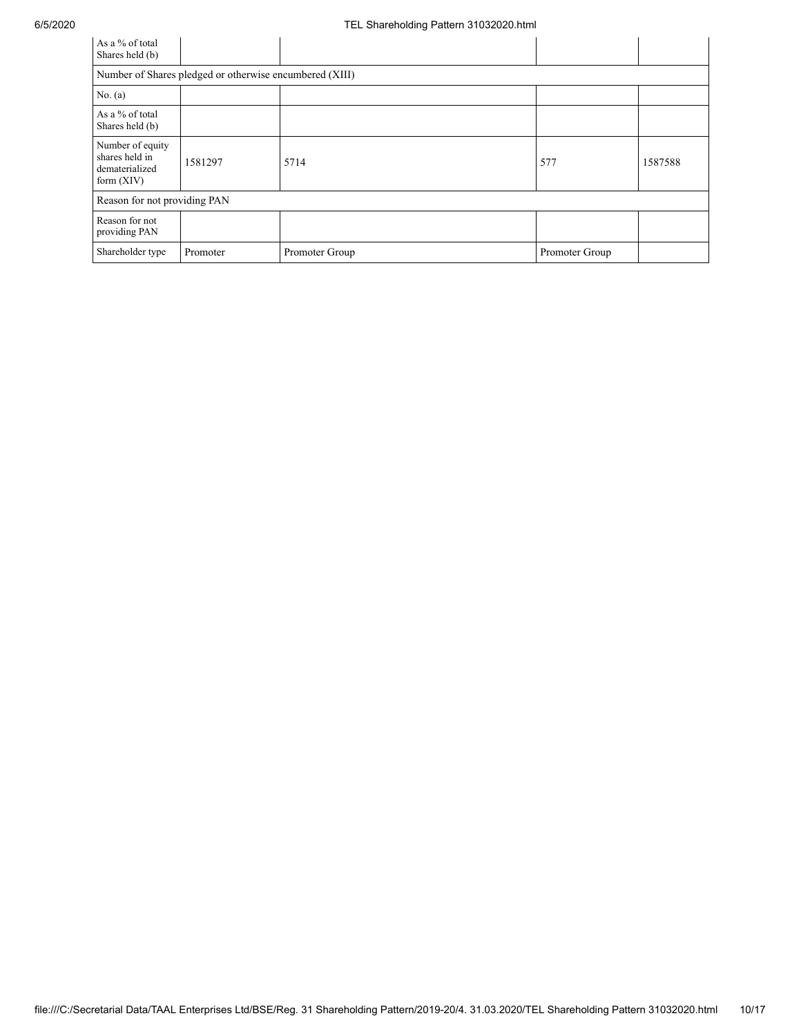| As a % of total<br>Shares held (b)                                   |                                                         |                |                |         |  |  |  |
|----------------------------------------------------------------------|---------------------------------------------------------|----------------|----------------|---------|--|--|--|
|                                                                      | Number of Shares pledged or otherwise encumbered (XIII) |                |                |         |  |  |  |
| No. $(a)$                                                            |                                                         |                |                |         |  |  |  |
| As a % of total<br>Shares held (b)                                   |                                                         |                |                |         |  |  |  |
| Number of equity<br>shares held in<br>dematerialized<br>form $(XIV)$ | 1581297                                                 | 5714           | 577            | 1587588 |  |  |  |
| Reason for not providing PAN                                         |                                                         |                |                |         |  |  |  |
| Reason for not<br>providing PAN                                      |                                                         |                |                |         |  |  |  |
| Shareholder type                                                     | Promoter                                                | Promoter Group | Promoter Group |         |  |  |  |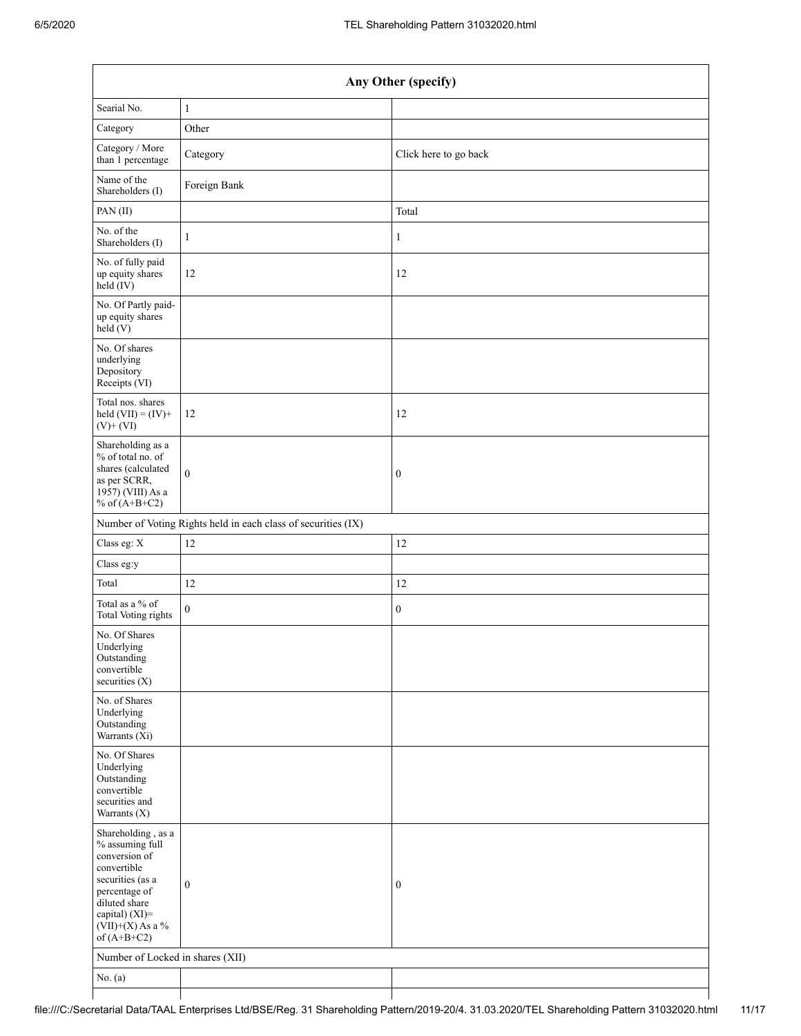|                                                                                                                                                                                         | Any Other (specify)                                           |                       |  |  |  |  |
|-----------------------------------------------------------------------------------------------------------------------------------------------------------------------------------------|---------------------------------------------------------------|-----------------------|--|--|--|--|
| Searial No.                                                                                                                                                                             | $\mathbf{1}$                                                  |                       |  |  |  |  |
| Category                                                                                                                                                                                | Other                                                         |                       |  |  |  |  |
| Category / More<br>than 1 percentage                                                                                                                                                    | Category                                                      | Click here to go back |  |  |  |  |
| Name of the<br>Shareholders (I)                                                                                                                                                         | Foreign Bank                                                  |                       |  |  |  |  |
| PAN(II)                                                                                                                                                                                 |                                                               | Total                 |  |  |  |  |
| No. of the<br>Shareholders (I)                                                                                                                                                          | $\mathbf{1}$                                                  | 1                     |  |  |  |  |
| No. of fully paid<br>up equity shares<br>$\text{held} (IV)$                                                                                                                             | 12                                                            | 12                    |  |  |  |  |
| No. Of Partly paid-<br>up equity shares<br>held $(V)$                                                                                                                                   |                                                               |                       |  |  |  |  |
| No. Of shares<br>underlying<br>Depository<br>Receipts (VI)                                                                                                                              |                                                               |                       |  |  |  |  |
| Total nos. shares<br>held $(VII) = (IV) +$<br>$(V)$ + $(VI)$                                                                                                                            | 12                                                            | 12                    |  |  |  |  |
| Shareholding as a<br>% of total no. of<br>shares (calculated<br>as per SCRR,<br>1957) (VIII) As a<br>% of $(A+B+C2)$                                                                    | $\mathbf{0}$                                                  | $\boldsymbol{0}$      |  |  |  |  |
|                                                                                                                                                                                         | Number of Voting Rights held in each class of securities (IX) |                       |  |  |  |  |
| Class eg: X                                                                                                                                                                             | 12                                                            | 12                    |  |  |  |  |
| Class eg:y                                                                                                                                                                              |                                                               |                       |  |  |  |  |
| Total                                                                                                                                                                                   | 12                                                            | 12                    |  |  |  |  |
| Total as a % of<br>Total Voting rights                                                                                                                                                  | $\boldsymbol{0}$                                              | $\boldsymbol{0}$      |  |  |  |  |
| No. Of Shares<br>Underlying<br>Outstanding<br>convertible<br>securities (X)                                                                                                             |                                                               |                       |  |  |  |  |
| No. of Shares<br>Underlying<br>Outstanding<br>Warrants $(X_i)$                                                                                                                          |                                                               |                       |  |  |  |  |
| No. Of Shares<br>Underlying<br>Outstanding<br>convertible<br>securities and<br>Warrants (X)                                                                                             |                                                               |                       |  |  |  |  |
| Shareholding, as a<br>$\%$ assuming full<br>conversion of<br>convertible<br>securities (as a<br>percentage of<br>diluted share<br>capital) (XI)=<br>$(VII)+(X)$ As a %<br>of $(A+B+C2)$ | $\boldsymbol{0}$                                              | $\boldsymbol{0}$      |  |  |  |  |
| Number of Locked in shares (XII)                                                                                                                                                        |                                                               |                       |  |  |  |  |
| No. $(a)$                                                                                                                                                                               |                                                               |                       |  |  |  |  |
|                                                                                                                                                                                         |                                                               |                       |  |  |  |  |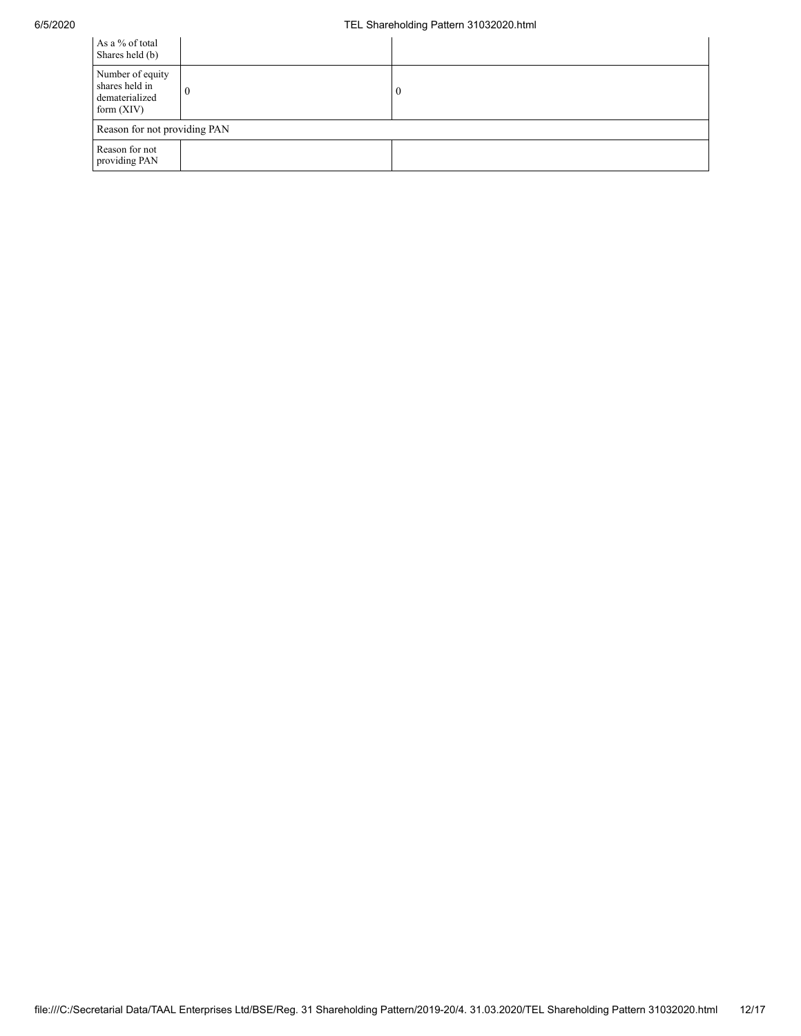## 6/5/2020 TEL Shareholding Pattern 31032020.html

| As a % of total<br>Shares held (b)                                   |                              |    |  |  |  |
|----------------------------------------------------------------------|------------------------------|----|--|--|--|
| Number of equity<br>shares held in<br>dematerialized<br>form $(XIV)$ | 0                            | -0 |  |  |  |
|                                                                      | Reason for not providing PAN |    |  |  |  |
| Reason for not<br>providing PAN                                      |                              |    |  |  |  |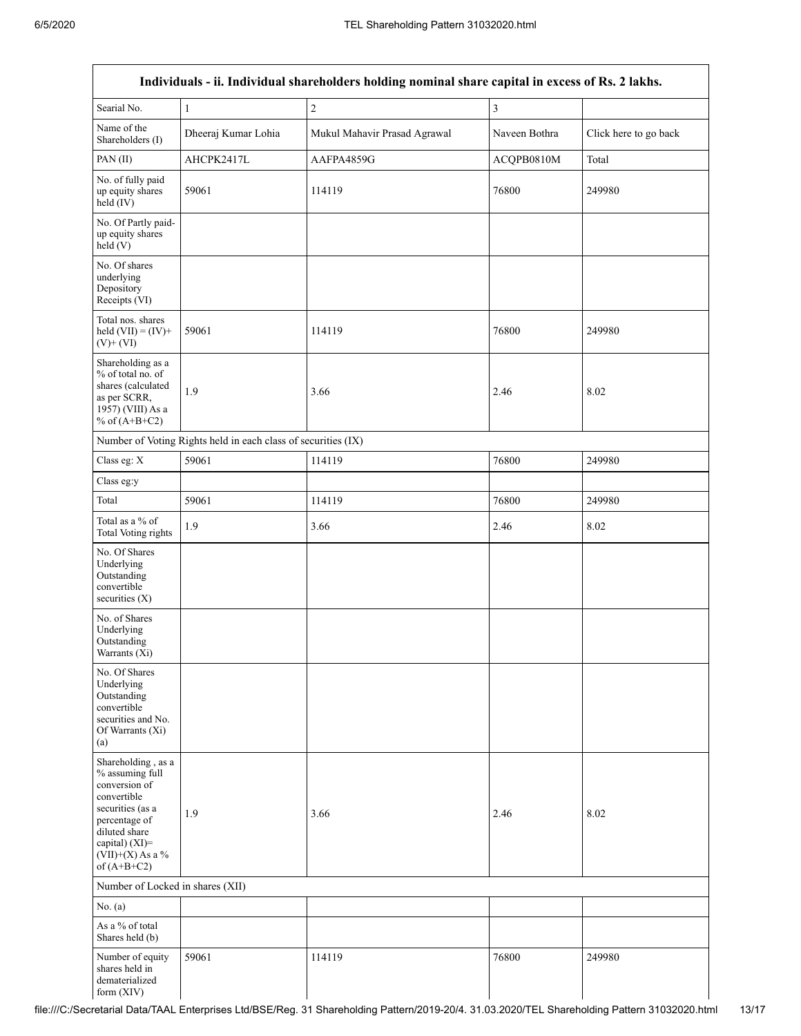|                                                                                                                                                                                      |                                                               | Individuals - ii. Individual shareholders holding nominal share capital in excess of Rs. 2 lakhs. |               |                       |  |
|--------------------------------------------------------------------------------------------------------------------------------------------------------------------------------------|---------------------------------------------------------------|---------------------------------------------------------------------------------------------------|---------------|-----------------------|--|
| Searial No.                                                                                                                                                                          | $\mathbf{1}$                                                  | $\sqrt{2}$                                                                                        | 3             |                       |  |
| Name of the<br>Shareholders (I)                                                                                                                                                      | Dheeraj Kumar Lohia                                           | Mukul Mahavir Prasad Agrawal                                                                      | Naveen Bothra | Click here to go back |  |
| PAN(II)                                                                                                                                                                              | AHCPK2417L                                                    | AAFPA4859G                                                                                        | ACQPB0810M    | Total                 |  |
| No. of fully paid<br>up equity shares<br>held (IV)                                                                                                                                   | 59061                                                         | 114119                                                                                            | 76800         | 249980                |  |
| No. Of Partly paid-<br>up equity shares<br>held(V)                                                                                                                                   |                                                               |                                                                                                   |               |                       |  |
| No. Of shares<br>underlying<br>Depository<br>Receipts (VI)                                                                                                                           |                                                               |                                                                                                   |               |                       |  |
| Total nos. shares<br>held $(VII) = (IV) +$<br>$(V)$ + $(VI)$                                                                                                                         | 59061                                                         | 114119                                                                                            | 76800         | 249980                |  |
| Shareholding as a<br>% of total no. of<br>shares (calculated<br>1.9<br>as per SCRR,<br>1957) (VIII) As a<br>% of $(A+B+C2)$                                                          |                                                               | 3.66                                                                                              | 2.46          | 8.02                  |  |
|                                                                                                                                                                                      | Number of Voting Rights held in each class of securities (IX) |                                                                                                   |               |                       |  |
| Class eg: X                                                                                                                                                                          | 59061                                                         | 114119                                                                                            | 76800         | 249980                |  |
| Class eg:y                                                                                                                                                                           |                                                               |                                                                                                   |               |                       |  |
| Total                                                                                                                                                                                | 59061                                                         | 114119                                                                                            | 76800         | 249980                |  |
| Total as a % of<br>1.9<br>Total Voting rights                                                                                                                                        |                                                               | 3.66                                                                                              | 2.46          | 8.02                  |  |
| No. Of Shares<br>Underlying<br>Outstanding<br>convertible<br>securities $(X)$                                                                                                        |                                                               |                                                                                                   |               |                       |  |
| No. of Shares<br>Underlying<br>Outstanding<br>Warrants (Xi)                                                                                                                          |                                                               |                                                                                                   |               |                       |  |
| No. Of Shares<br>Underlying<br>Outstanding<br>convertible<br>securities and No.<br>Of Warrants (Xi)<br>(a)                                                                           |                                                               |                                                                                                   |               |                       |  |
| Shareholding, as a<br>% assuming full<br>conversion of<br>convertible<br>securities (as a<br>percentage of<br>diluted share<br>capital) (XI)=<br>$(VII)+(X)$ As a %<br>of $(A+B+C2)$ | 1.9                                                           | 3.66                                                                                              | 2.46          | 8.02                  |  |
| Number of Locked in shares (XII)                                                                                                                                                     |                                                               |                                                                                                   |               |                       |  |
| No. $(a)$                                                                                                                                                                            |                                                               |                                                                                                   |               |                       |  |
| As a % of total<br>Shares held (b)                                                                                                                                                   |                                                               |                                                                                                   |               |                       |  |
| Number of equity<br>shares held in<br>dematerialized<br>form $(XIV)$                                                                                                                 | 59061                                                         | 114119                                                                                            | 76800         | 249980                |  |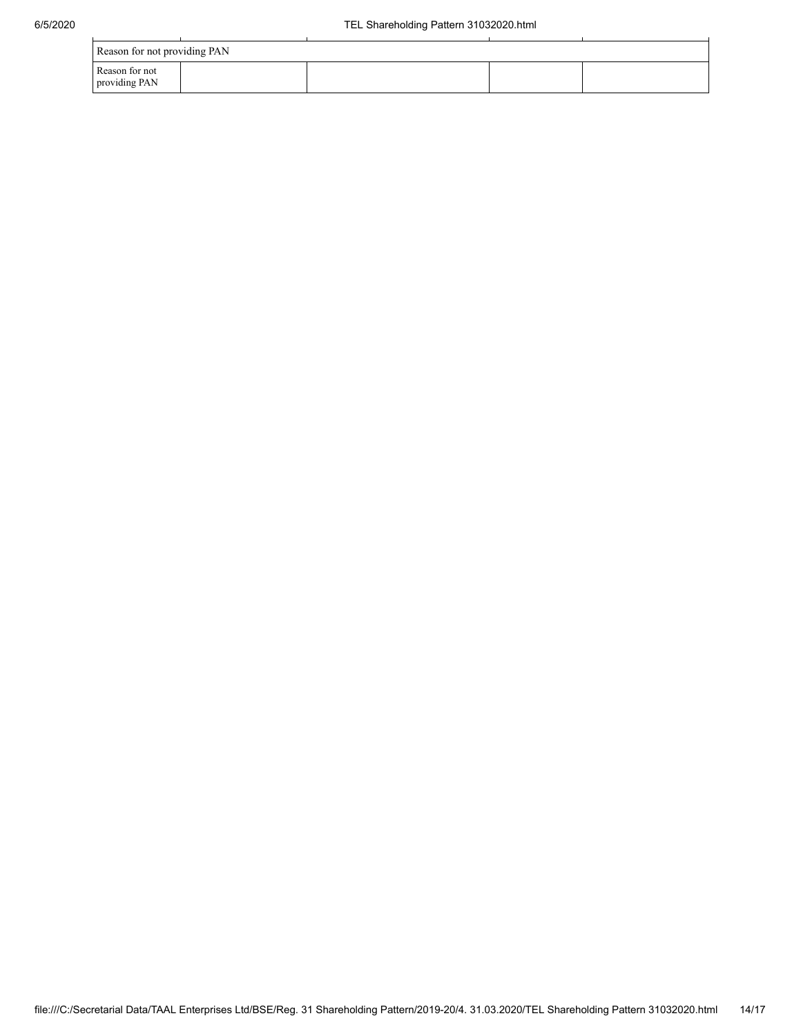| Reason for not providing PAN    |  |  |  |  |  |  |  |  |  |  |
|---------------------------------|--|--|--|--|--|--|--|--|--|--|
| Reason for not<br>providing PAN |  |  |  |  |  |  |  |  |  |  |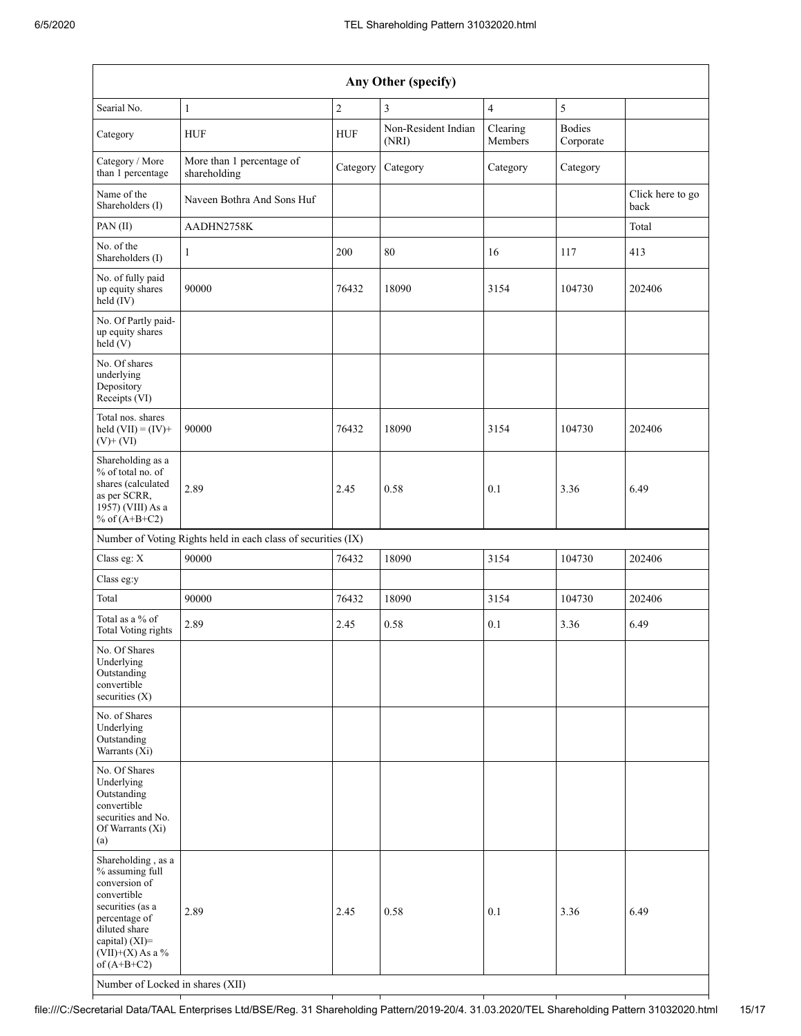| Any Other (specify)                                                                                                                                                                                                      |                                                               |                  |                              |                     |                            |                          |  |  |  |  |
|--------------------------------------------------------------------------------------------------------------------------------------------------------------------------------------------------------------------------|---------------------------------------------------------------|------------------|------------------------------|---------------------|----------------------------|--------------------------|--|--|--|--|
| Searial No.                                                                                                                                                                                                              | $\mathbf{1}$                                                  | $\boldsymbol{2}$ | 3                            | $\overline{4}$      | 5                          |                          |  |  |  |  |
| Category                                                                                                                                                                                                                 | <b>HUF</b>                                                    | <b>HUF</b>       | Non-Resident Indian<br>(NRI) | Clearing<br>Members | <b>Bodies</b><br>Corporate |                          |  |  |  |  |
| Category / More<br>than 1 percentage                                                                                                                                                                                     | More than 1 percentage of<br>shareholding                     | Category         | Category                     | Category            | Category                   |                          |  |  |  |  |
| Name of the<br>Shareholders (I)                                                                                                                                                                                          | Naveen Bothra And Sons Huf                                    |                  |                              |                     |                            | Click here to go<br>back |  |  |  |  |
| PAN (II)                                                                                                                                                                                                                 | AADHN2758K                                                    |                  |                              |                     |                            | Total                    |  |  |  |  |
| No. of the<br>Shareholders (I)                                                                                                                                                                                           | $\mathbf{1}$                                                  | 200              | 80                           | 16                  | 117                        | 413                      |  |  |  |  |
| No. of fully paid<br>up equity shares<br>held (IV)                                                                                                                                                                       | 90000                                                         | 76432            | 18090                        | 3154                | 104730                     | 202406                   |  |  |  |  |
| No. Of Partly paid-<br>up equity shares<br>held (V)                                                                                                                                                                      |                                                               |                  |                              |                     |                            |                          |  |  |  |  |
| No. Of shares<br>underlying<br>Depository<br>Receipts (VI)                                                                                                                                                               |                                                               |                  |                              |                     |                            |                          |  |  |  |  |
| Total nos. shares<br>held $(VII) = (IV) +$<br>$(V)$ + $(VI)$                                                                                                                                                             | 90000                                                         | 76432            | 18090                        | 3154                | 104730                     | 202406                   |  |  |  |  |
| Shareholding as a<br>% of total no. of<br>shares (calculated<br>as per SCRR,<br>1957) (VIII) As a<br>% of $(A+B+C2)$                                                                                                     | 2.89                                                          | 2.45             | 0.58                         | 0.1                 | 3.36                       | 6.49                     |  |  |  |  |
|                                                                                                                                                                                                                          | Number of Voting Rights held in each class of securities (IX) |                  |                              |                     |                            |                          |  |  |  |  |
| Class eg: X                                                                                                                                                                                                              | 90000                                                         | 76432            | 18090                        | 3154                | 104730                     | 202406                   |  |  |  |  |
| Class eg:y                                                                                                                                                                                                               |                                                               |                  |                              |                     |                            |                          |  |  |  |  |
| Total                                                                                                                                                                                                                    | 90000                                                         | 76432            | 18090                        | 3154                | 104730                     | 202406                   |  |  |  |  |
| Total as a % of<br>Total Voting rights                                                                                                                                                                                   | 2.89                                                          | 2.45             | 0.58                         | 0.1                 | 3.36                       | 6.49                     |  |  |  |  |
| No. Of Shares<br>Underlying<br>Outstanding<br>convertible<br>securities $(X)$                                                                                                                                            |                                                               |                  |                              |                     |                            |                          |  |  |  |  |
| No. of Shares<br>Underlying<br>Outstanding<br>Warrants (Xi)                                                                                                                                                              |                                                               |                  |                              |                     |                            |                          |  |  |  |  |
| No. Of Shares<br>Underlying<br>Outstanding<br>convertible<br>securities and No.<br>Of Warrants (Xi)<br>(a)                                                                                                               |                                                               |                  |                              |                     |                            |                          |  |  |  |  |
| Shareholding, as a<br>% assuming full<br>conversion of<br>convertible<br>securities (as a<br>percentage of<br>diluted share<br>capital) (XI)=<br>$(VII)+(X)$ As a %<br>of $(A+B+C2)$<br>Number of Locked in shares (XII) | 2.89                                                          | 2.45             | 0.58                         | 0.1                 | 3.36                       | 6.49                     |  |  |  |  |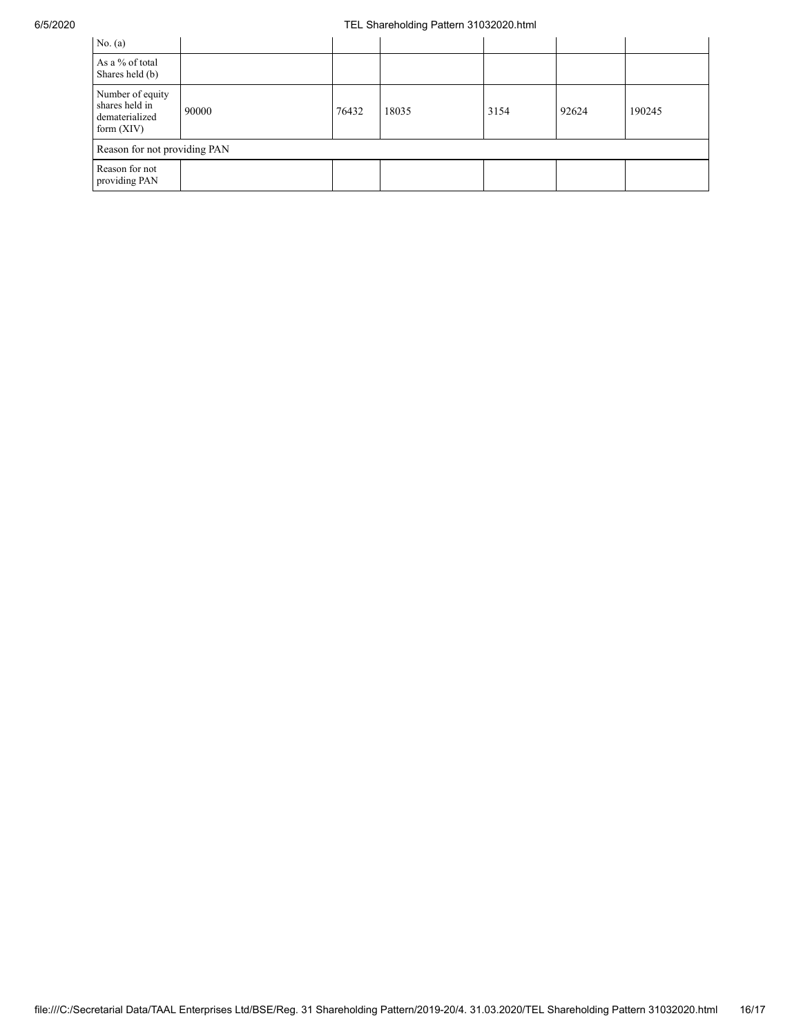## 6/5/2020 TEL Shareholding Pattern 31032020.html

| No. $(a)$                                                            |       |       |       |      |       |        |  |  |  |
|----------------------------------------------------------------------|-------|-------|-------|------|-------|--------|--|--|--|
| As a % of total<br>Shares held (b)                                   |       |       |       |      |       |        |  |  |  |
| Number of equity<br>shares held in<br>dematerialized<br>form $(XIV)$ | 90000 | 76432 | 18035 | 3154 | 92624 | 190245 |  |  |  |
| Reason for not providing PAN                                         |       |       |       |      |       |        |  |  |  |
| Reason for not<br>providing PAN                                      |       |       |       |      |       |        |  |  |  |